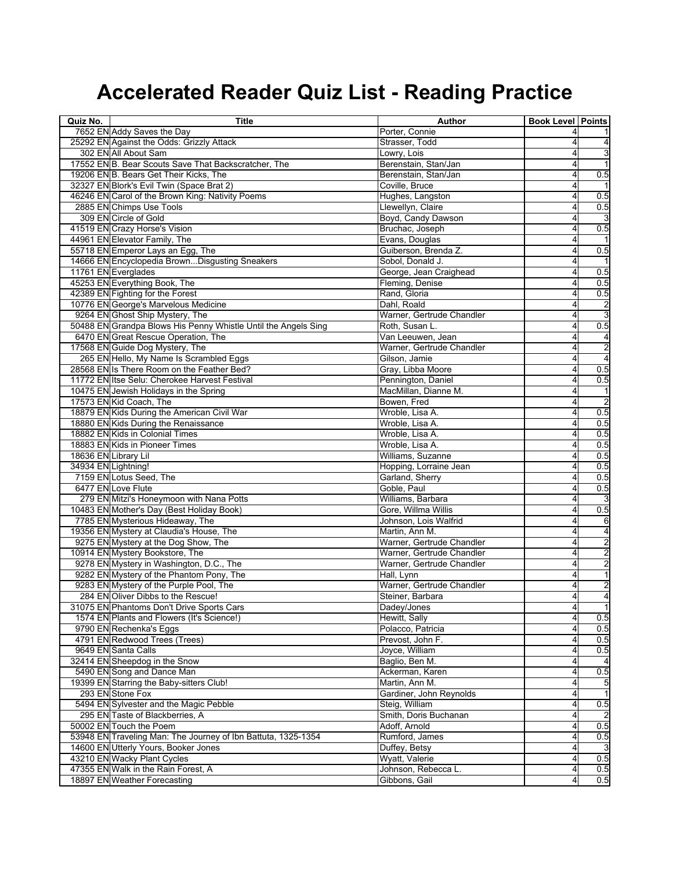| Quiz No.             | <b>Title</b>                                                   | Author                          | <b>Book Level Points</b> |                         |
|----------------------|----------------------------------------------------------------|---------------------------------|--------------------------|-------------------------|
|                      | 7652 EN Addy Saves the Day                                     | Porter, Connie                  |                          |                         |
|                      | 25292 EN Against the Odds: Grizzly Attack                      | Strasser, Todd                  |                          | 4                       |
|                      | 302 EN All About Sam                                           | Lowry, Lois                     |                          | 3                       |
|                      | 17552 EN B. Bear Scouts Save That Backscratcher, The           | Berenstain, Stan/Jan            |                          | $\mathbf{1}$            |
|                      | 19206 EN B. Bears Get Their Kicks, The                         | Berenstain, Stan/Jan            | 4                        | 0.5                     |
|                      | 32327 EN Blork's Evil Twin (Space Brat 2)                      | Coville, Bruce                  |                          |                         |
|                      | 46246 EN Carol of the Brown King: Nativity Poems               | Hughes, Langston                |                          | 0.5                     |
|                      | 2885 EN Chimps Use Tools                                       | Llewellyn, Claire               | 4                        | 0.5                     |
|                      | 309 EN Circle of Gold                                          | Boyd, Candy Dawson              | 4                        |                         |
|                      | 41519 EN Crazy Horse's Vision                                  | Bruchac, Joseph                 |                          | 0.5                     |
|                      | 44961 EN Elevator Family, The                                  | Evans, Douglas                  |                          |                         |
|                      | 55718 EN Emperor Lays an Egg, The                              | Guiberson, Brenda Z.            |                          | 0.5                     |
|                      | 14666 EN Encyclopedia BrownDisgusting Sneakers                 | Sobol, Donald J.                |                          |                         |
|                      | 11761 EN Everglades                                            | George, Jean Craighead          | 4                        | 0.5                     |
|                      | 45253 EN Everything Book, The                                  | Fleming, Denise                 |                          | 0.5                     |
|                      | 42389 EN Fighting for the Forest                               | Rand, Gloria                    | 4                        | 0.5                     |
|                      | 10776 EN George's Marvelous Medicine                           | Dahl, Roald                     |                          | $\overline{2}$          |
|                      | 9264 EN Ghost Ship Mystery, The                                | Warner, Gertrude Chandler       |                          | 3                       |
|                      | 50488 EN Grandpa Blows His Penny Whistle Until the Angels Sing | Roth, Susan L.                  | 4                        | 0.5                     |
|                      | 6470 EN Great Rescue Operation, The                            | Van Leeuwen, Jean               |                          | 4                       |
|                      | 17568 EN Guide Dog Mystery, The                                | Warner, Gertrude Chandler       |                          | 2                       |
|                      | 265 EN Hello, My Name Is Scrambled Eggs                        | Gilson, Jamie                   |                          | $\overline{4}$          |
|                      | 28568 EN Is There Room on the Feather Bed?                     | Gray, Libba Moore               |                          | 0.5                     |
|                      | 11772 EN Itse Selu: Cherokee Harvest Festival                  | Pennington, Daniel              |                          | 0.5                     |
|                      | 10475 EN Jewish Holidays in the Spring                         | MacMillan, Dianne M.            |                          |                         |
|                      | 17573 EN Kid Coach, The                                        | Bowen, Fred                     |                          | $\overline{2}$          |
|                      | 18879 EN Kids During the American Civil War                    | Wroble, Lisa A.                 | 4                        | 0.5                     |
|                      | 18880 EN Kids During the Renaissance                           | Wroble, Lisa A.                 |                          | 0.5                     |
|                      | 18882 EN Kids in Colonial Times                                | Wroble, Lisa A.                 |                          | 0.5                     |
|                      | 18883 EN Kids in Pioneer Times                                 | Wroble, Lisa A.                 |                          | $\overline{0.5}$        |
| 18636 EN Library Lil |                                                                | Williams, Suzanne               |                          | 0.5                     |
| 34934 EN Lightning!  |                                                                | Hopping, Lorraine Jean          | 4                        | 0.5                     |
|                      | 7159 EN Lotus Seed, The                                        | Garland, Sherry                 | 4                        | 0.5                     |
|                      | 6477 EN Love Flute                                             | Goble, Paul                     | 4                        | 0.5                     |
|                      | 279 EN Mitzi's Honeymoon with Nana Potts                       | Williams, Barbara               |                          |                         |
|                      | 10483 EN Mother's Day (Best Holiday Book)                      | Gore, Willma Willis             |                          | 0.5                     |
|                      | 7785 EN Mysterious Hideaway, The                               | Johnson, Lois Walfrid           |                          | 6                       |
|                      | 19356 EN Mystery at Claudia's House, The                       | Martin, Ann M.                  |                          | 4                       |
|                      | 9275 EN Mystery at the Dog Show, The                           | Warner, Gertrude Chandler       | 4                        | $\overline{c}$          |
|                      | 10914 EN Mystery Bookstore, The                                | Warner, Gertrude Chandler       | 4                        | $\overline{\mathbf{c}}$ |
|                      | 9278 EN Mystery in Washington, D.C., The                       | Warner, Gertrude Chandler       | 4                        | $\overline{\mathbf{c}}$ |
|                      | 9282 EN Mystery of the Phantom Pony, The                       | Hall, Lynn                      | 4                        | $\overline{\mathbf{1}}$ |
|                      | 9283 EN Mystery of the Purple Pool, The                        | Warner, Gertrude Chandler       | 4                        | $\overline{\mathbf{c}}$ |
|                      | 284 EN Oliver Dibbs to the Rescue!                             | Steiner, Barbara                | 4                        | $\overline{4}$          |
|                      | 31075 EN Phantoms Don't Drive Sports Cars                      | Dadey/Jones                     |                          |                         |
|                      | 1574 EN Plants and Flowers (It's Science!)                     | Hewitt, Sally                   | $\overline{4}$           | 0.5                     |
|                      | 9790 EN Rechenka's Eggs                                        | Polacco, Patricia               |                          | 0.5                     |
|                      | 4791 EN Redwood Trees (Trees)                                  | Prevost, John F.                |                          | 0.5                     |
|                      | 9649 EN Santa Calls                                            | Joyce, William                  |                          | 0.5                     |
|                      | 32414 EN Sheepdog in the Snow                                  | Baglio, Ben M.                  |                          |                         |
|                      | 5490 EN Song and Dance Man                                     | Ackerman, Karen                 |                          | 0.5                     |
|                      | 19399 EN Starring the Baby-sitters Club!                       | Martin, Ann M.                  | 4                        | 5                       |
|                      | 293 EN Stone Fox                                               | Gardiner, John Reynolds         |                          | $\mathbf{1}$            |
|                      | 5494 EN Sylvester and the Magic Pebble                         | Steig, William                  |                          | 0.5                     |
|                      | 295 EN Taste of Blackberries, A                                | Smith, Doris Buchanan           |                          |                         |
|                      | 50002 EN Touch the Poem                                        |                                 |                          | 0.5                     |
|                      | 53948 EN Traveling Man: The Journey of Ibn Battuta, 1325-1354  | Adoff, Arnold<br>Rumford, James | 4                        | 0.5                     |
|                      |                                                                |                                 |                          |                         |
|                      | 14600 EN Utterly Yours, Booker Jones                           | Duffey, Betsy                   | 4<br>4                   | 3                       |
|                      | 43210 EN Wacky Plant Cycles                                    | Wyatt, Valerie                  |                          | 0.5                     |
|                      | 47355 EN Walk in the Rain Forest, A                            | Johnson, Rebecca L.             |                          | 0.5                     |
|                      | 18897 EN Weather Forecasting                                   | Gibbons, Gail                   | 4                        | 0.5                     |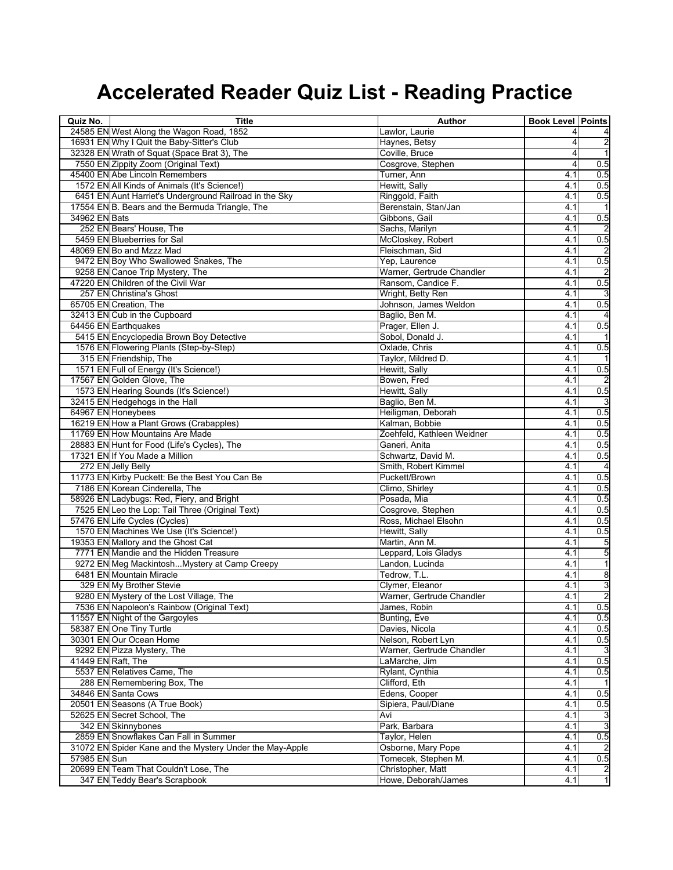| Quiz No.           | <b>Title</b>                                             | Author                     | <b>Book Level Points</b> |                     |
|--------------------|----------------------------------------------------------|----------------------------|--------------------------|---------------------|
|                    | 24585 EN West Along the Wagon Road, 1852                 | Lawlor, Laurie             |                          |                     |
|                    | 16931 EN Why I Quit the Baby-Sitter's Club               | Haynes, Betsy              |                          | 2                   |
|                    | 32328 EN Wrath of Squat (Space Brat 3), The              | Coville, Bruce             |                          | $\overline{1}$      |
|                    | 7550 EN Zippity Zoom (Original Text)                     | Cosgrove, Stephen          |                          | 0.5                 |
|                    | 45400 EN Abe Lincoln Remembers                           | Turner, Ann                | 4.1                      | 0.5                 |
|                    | 1572 EN All Kinds of Animals (It's Science!)             | Hewitt, Sally              | 4.1                      | 0.5                 |
|                    | 6451 EN Aunt Harriet's Underground Railroad in the Sky   | Ringgold, Faith            | 4.1                      | 0.5                 |
|                    | 17554 EN B. Bears and the Bermuda Triangle, The          | Berenstain, Stan/Jan       | 4.1                      |                     |
| 34962 EN Bats      |                                                          | Gibbons, Gail              | 4.1                      | 0.5                 |
|                    | 252 EN Bears' House, The                                 | Sachs, Marilyn             | 4.1                      |                     |
|                    | 5459 EN Blueberries for Sal                              | McCloskey, Robert          | 4.1                      | 0.5                 |
|                    | 48069 EN Bo and Mzzz Mad                                 | Fleischman, Sid            | 4.1                      |                     |
|                    | 9472 EN Boy Who Swallowed Snakes, The                    | Yep. Laurence              | 4.1                      | 0.5                 |
|                    | 9258 EN Canoe Trip Mystery, The                          | Warner, Gertrude Chandler  | 4.1                      |                     |
|                    | 47220 EN Children of the Civil War                       | Ransom, Candice F.         | 4.1                      | 0.5                 |
|                    | 257 EN Christina's Ghost                                 | Wright, Betty Ren          | 4.1                      |                     |
|                    | 65705 EN Creation, The                                   | Johnson, James Weldon      | 4.1                      | 0.5                 |
|                    | 32413 EN Cub in the Cupboard                             | Baglio, Ben M.             | 4.1                      | 4                   |
|                    | 64456 EN Earthquakes                                     | Prager, Ellen J.           | 4.1                      | 0.5                 |
|                    | 5415 EN Encyclopedia Brown Boy Detective                 | Sobol, Donald J.           | 4.1                      |                     |
|                    | 1576 EN Flowering Plants (Step-by-Step)                  | Oxlade, Chris              | 4.1                      | 0.5                 |
|                    | 315 EN Friendship, The                                   | Taylor, Mildred D.         | 4.1                      |                     |
|                    | 1571 EN Full of Energy (It's Science!)                   | Hewitt, Sally              | 4.1                      | 0.5                 |
|                    | 17567 EN Golden Glove, The                               | Bowen, Fred                | 4.1                      |                     |
|                    | 1573 EN Hearing Sounds (It's Science!)                   | Hewitt, Sally              | 4.1                      | 0.5                 |
|                    | 32415 EN Hedgehogs in the Hall                           | Baglio, Ben M.             | 4.1                      |                     |
|                    | 64967 EN Honeybees                                       | Heiligman, Deborah         | 4.1                      | 0.5                 |
|                    | 16219 EN How a Plant Grows (Crabapples)                  | Kalman, Bobbie             | 4.1                      | 0.5                 |
|                    | 11769 EN How Mountains Are Made                          | Zoehfeld, Kathleen Weidner | 4.1                      | 0.5                 |
|                    | 28883 EN Hunt for Food (Life's Cycles), The              | Ganeri, Anita              | 4.1                      | 0.5                 |
|                    | 17321 EN If You Made a Million                           | Schwartz, David M.         | 4.1                      | 0.5                 |
|                    | 272 EN Jelly Belly                                       | Smith, Robert Kimmel       | 4.1                      | $\overline{4}$      |
|                    | 11773 EN Kirby Puckett: Be the Best You Can Be           | Puckett/Brown              | 4.1                      | 0.5                 |
|                    | 7186 EN Korean Cinderella, The                           | Climo, Shirley             | 4.1                      | 0.5                 |
|                    | 58926 EN Ladybugs: Red, Fiery, and Bright                | Posada, Mia                | 4.1                      | 0.5                 |
|                    | 7525 EN Leo the Lop: Tail Three (Original Text)          | Cosgrove, Stephen          | 4.1                      | 0.5                 |
|                    | 57476 EN Life Cycles (Cycles)                            | Ross, Michael Elsohn       | 4.1                      | 0.5                 |
|                    | 1570 EN Machines We Use (It's Science!)                  | Hewitt, Sally              | 4.1                      | 0.5                 |
|                    | 19353 EN Mallory and the Ghost Cat                       | Martin, Ann M.             | 4.1                      | 5                   |
|                    | 7771 EN Mandie and the Hidden Treasure                   | Leppard, Lois Gladys       | 4.1                      | 5                   |
|                    | 9272 EN Meg Mackintosh Mystery at Camp Creepy            | Landon, Lucinda            | 4.1                      | 1                   |
|                    | 6481 EN Mountain Miracle                                 | Tedrow, T.L.               | 4.1                      | 8                   |
|                    | 329 EN My Brother Stevie                                 | Clymer, Eleanor            | 4.1                      | 3                   |
|                    | 9280 EN Mystery of the Lost Village, The                 | Warner, Gertrude Chandler  | 4.1                      | 2                   |
|                    | 7536 EN Napoleon's Rainbow (Original Text)               | James, Robin               | 4.1                      | 0.5                 |
|                    | 11557 EN Night of the Gargoyles                          | <b>Bunting, Eve</b>        | 4.1                      | 0.5                 |
|                    | 58387 EN One Tiny Turtle                                 | Davies, Nicola             | 4.1                      | 0.5                 |
|                    | 30301 EN Our Ocean Home                                  | Nelson, Robert Lyn         | 4.1                      | 0.5                 |
|                    | 9292 EN Pizza Mystery, The                               | Warner, Gertrude Chandler  | 4.1                      | 3                   |
| 41449 EN Raft, The |                                                          | LaMarche, Jim              | 4.1                      | 0.5                 |
|                    | 5537 EN Relatives Came, The                              | Rylant, Cynthia            | 4.1                      | 0.5                 |
|                    | 288 EN Remembering Box, The                              | Clifford. Eth              | 4.1                      |                     |
|                    | 34846 EN Santa Cows                                      | Edens, Cooper              | 4.1                      | 0.5                 |
|                    | 20501 EN Seasons (A True Book)                           | Sipiera, Paul/Diane        | 4.1                      | 0.5                 |
|                    | 52625 EN Secret School, The                              | Avi                        | 4.1                      | 3                   |
|                    | 342 EN Skinnybones                                       | Park, Barbara              | 4.1                      | 3                   |
|                    | 2859 EN Snowflakes Can Fall in Summer                    | Taylor, Helen              | 4.1                      | 0.5                 |
|                    | 31072 EN Spider Kane and the Mystery Under the May-Apple | Osborne, Mary Pope         | 4.1                      |                     |
| 57985 EN Sun       |                                                          | Tomecek, Stephen M.        | 4.1                      | 0.5                 |
|                    | 20699 EN Team That Couldn't Lose, The                    | Christopher, Matt          | 4.1                      |                     |
|                    | 347 EN Teddy Bear's Scrapbook                            | Howe, Deborah/James        | 4.1                      | $\overline{c}$<br>1 |
|                    |                                                          |                            |                          |                     |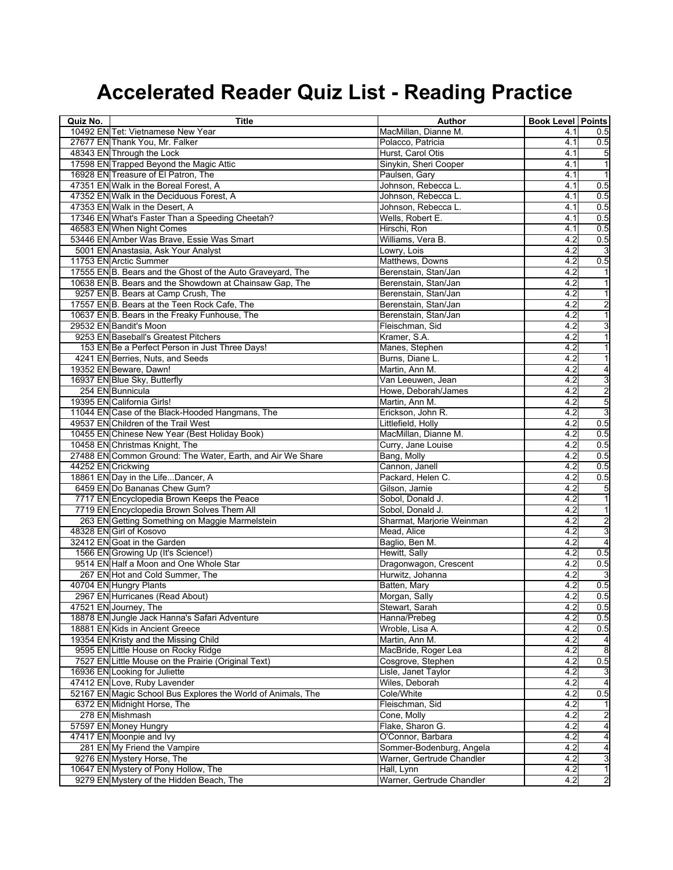| Quiz No.           | <b>Title</b>                                                 | Author                    | <b>Book Level Points</b> |                         |
|--------------------|--------------------------------------------------------------|---------------------------|--------------------------|-------------------------|
|                    | 10492 EN Tet: Vietnamese New Year                            | MacMillan, Dianne M.      | 4.1                      | 0.5                     |
|                    | 27677 EN Thank You, Mr. Falker                               | Polacco, Patricia         | 4.1                      | 0.5                     |
|                    | 48343 EN Through the Lock                                    | Hurst, Carol Otis         | 4.1                      | 5                       |
|                    | 17598 EN Trapped Beyond the Magic Attic                      | Sinykin, Sheri Cooper     | 4.1                      | $\overline{\mathbf{1}}$ |
|                    | 16928 EN Treasure of El Patron, The                          | Paulsen, Gary             | 4.1                      | $\mathbf{1}$            |
|                    | 47351 EN Walk in the Boreal Forest, A                        | Johnson, Rebecca L.       | 4.1                      | 0.5                     |
|                    | 47352 EN Walk in the Deciduous Forest, A                     | Johnson, Rebecca L.       | 4.1                      | 0.5                     |
|                    | 47353 EN Walk in the Desert, A                               | Johnson, Rebecca L.       | 4.1                      | 0.5                     |
|                    | 17346 EN What's Faster Than a Speeding Cheetah?              | Wells, Robert E.          | 4.1                      | 0.5                     |
|                    | 46583 EN When Night Comes                                    | Hirschi, Ron              | 4.1                      | 0.5                     |
|                    | 53446 EN Amber Was Brave, Essie Was Smart                    | Williams, Vera B.         | 4.2                      | 0.5                     |
|                    | 5001 EN Anastasia, Ask Your Analyst                          | Lowry, Lois               | 4.2                      | 3                       |
|                    | 11753 EN Arctic Summer                                       | Matthews, Downs           | 4.2                      | 0.5                     |
|                    | 17555 EN B. Bears and the Ghost of the Auto Graveyard, The   | Berenstain, Stan/Jan      | 4.2                      | 1                       |
|                    | 10638 EN B. Bears and the Showdown at Chainsaw Gap, The      | Berenstain, Stan/Jan      | 4.2                      | $\mathbf{1}$            |
|                    | 9257 EN B. Bears at Camp Crush, The                          | Berenstain, Stan/Jan      | 4.2                      | $\mathbf{1}$            |
|                    | 17557 EN B. Bears at the Teen Rock Cafe, The                 | Berenstain, Stan/Jan      | 4.2                      | 2                       |
|                    | 10637 EN B. Bears in the Freaky Funhouse, The                | Berenstain, Stan/Jan      | 4.2                      | $\overline{1}$          |
|                    | 29532 EN Bandit's Moon                                       | Fleischman, Sid           | 4.2                      | 3                       |
|                    | 9253 EN Baseball's Greatest Pitchers                         | Kramer, S.A.              | 4.2                      | $\overline{1}$          |
|                    | 153 EN Be a Perfect Person in Just Three Days!               | Manes, Stephen            | 4.2                      | $\mathbf{1}$            |
|                    | 4241 EN Berries, Nuts, and Seeds                             | Burns, Diane L            | 4.2                      | $\mathbf{1}$            |
|                    | 19352 EN Beware, Dawn!                                       | Martin, Ann M.            | 4.2                      | 4                       |
|                    | 16937 EN Blue Sky, Butterfly                                 | Van Leeuwen, Jean         | 4.2                      | 3                       |
|                    | 254 EN Bunnicula                                             | Howe, Deborah/James       | 4.2                      | $\overline{c}$          |
|                    | 19395 EN California Girls!                                   | Martin, Ann M.            | 4.2                      | 5                       |
|                    | 11044 EN Case of the Black-Hooded Hangmans, The              | Erickson, John R.         | 4.2                      | 3                       |
|                    | 49537 EN Children of the Trail West                          | Littlefield, Holly        | 4.2                      | 0.5                     |
|                    | 10455 EN Chinese New Year (Best Holiday Book)                | MacMillan, Dianne M.      | 4.2                      | 0.5                     |
|                    | 10458 EN Christmas Knight, The                               | Curry, Jane Louise        | 4.2                      | 0.5                     |
|                    | 27488 EN Common Ground: The Water, Earth, and Air We Share   | Bang, Molly               | 4.2                      | 0.5                     |
| 44252 EN Crickwing |                                                              | Cannon, Janell            | 4.2                      | 0.5                     |
|                    | 18861 EN Day in the LifeDancer, A                            | Packard, Helen C.         | 4.2                      | 0.5                     |
|                    | 6459 EN Do Bananas Chew Gum?                                 | Gilson, Jamie             | 4.2                      | 5                       |
|                    | 7717 EN Encyclopedia Brown Keeps the Peace                   | Sobol, Donald J.          | 4.2                      | $\overline{\mathbf{1}}$ |
|                    | 7719 EN Encyclopedia Brown Solves Them All                   | Sobol, Donald J.          | 4.2                      | $\overline{\mathbf{1}}$ |
|                    | 263 EN Getting Something on Maggie Marmelstein               | Sharmat, Marjorie Weinman | 4.2                      | $\overline{\mathbf{c}}$ |
|                    | 48328 EN Girl of Kosovo                                      | Mead, Alice               | 4.2                      | 3                       |
|                    | 32412 EN Goat in the Garden                                  | Baglio, Ben M.            | 4.2                      | $\overline{\mathbf{r}}$ |
|                    | 1566 EN Growing Up (It's Science!)                           | Hewitt, Sally             | 4.2                      | 0.5                     |
|                    | 9514 EN Half a Moon and One Whole Star                       | Dragonwagon, Crescent     | 4.2                      | 0.5                     |
|                    | 267 EN Hot and Cold Summer, The                              | Hurwitz, Johanna          | 4.2                      | دى                      |
|                    | 40704 EN Hungry Plants                                       | Batten, Mary              | 4.2                      | 0.5                     |
|                    | 2967 EN Hurricanes (Read About)                              | Morgan, Sally             | 4.2                      | 0.5                     |
|                    | 47521 EN Journey, The                                        | Stewart, Sarah            | 4.2                      | 0.5                     |
|                    | 18878 EN Jungle Jack Hanna's Safari Adventure                | Hanna/Prebeg              | 4.2                      | 0.5                     |
|                    | 18881 EN Kids in Ancient Greece                              | Wroble, Lisa A.           | 4.2                      | 0.5                     |
|                    | 19354 EN Kristy and the Missing Child                        | Martin, Ann M.            | 4.2                      | 4                       |
|                    | 9595 EN Little House on Rocky Ridge                          | MacBride, Roger Lea       | 4.2                      | 8                       |
|                    | 7527 EN Little Mouse on the Prairie (Original Text)          | Cosgrove, Stephen         | 4.2                      | 0.5                     |
|                    | 16936 EN Looking for Juliette                                | Lisle, Janet Taylor       | 4.2                      | 3                       |
|                    | 47412 EN Love, Ruby Lavender                                 | Wiles, Deborah            | 4.2                      | $\overline{4}$          |
|                    | 52167 EN Magic School Bus Explores the World of Animals, The | Cole/White                | 4.2                      | 0.5                     |
|                    | 6372 EN Midnight Horse, The                                  | Fleischman, Sid           | 4.2                      | 1                       |
|                    | 278 EN Mishmash                                              | Cone, Molly               | 4.2                      | $\overline{c}$          |
|                    | 57597 EN Money Hungry                                        | Flake, Sharon G.          | 4.2                      | $\overline{4}$          |
|                    | 47417 EN Moonpie and Ivy                                     | O'Connor, Barbara         | 4.2                      | 4                       |
|                    | 281 EN My Friend the Vampire                                 | Sommer-Bodenburg, Angela  | 4.2                      | $\overline{\mathbf{r}}$ |
|                    | 9276 EN Mystery Horse, The                                   | Warner, Gertrude Chandler | 4.2                      | 3                       |
|                    | 10647 EN Mystery of Pony Hollow, The                         | Hall, Lynn                | 4.2                      | $\overline{1}$          |
|                    | 9279 EN Mystery of the Hidden Beach, The                     | Warner, Gertrude Chandler | 4.2                      | $\overline{2}$          |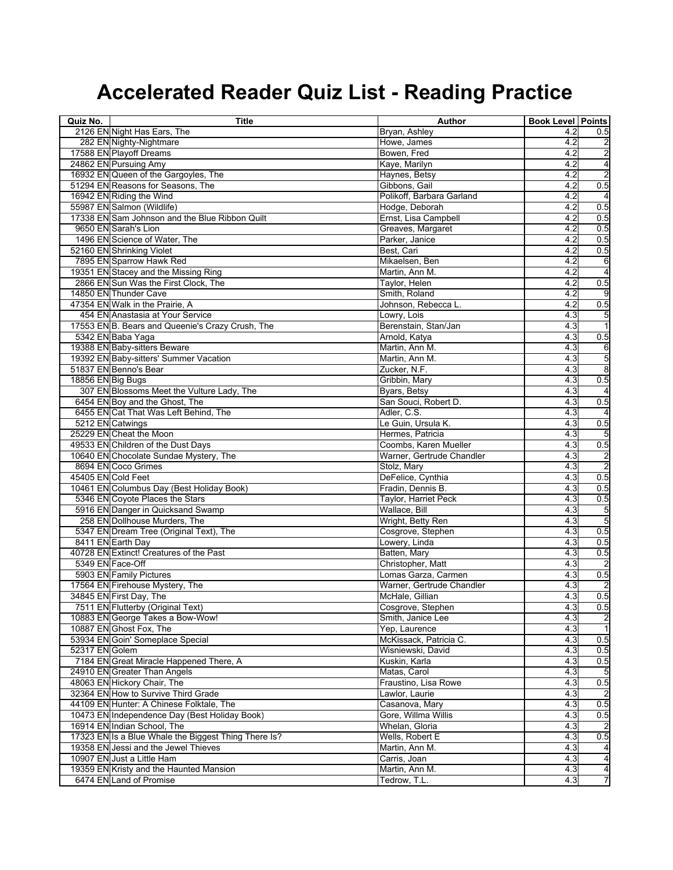| Quiz No.           | <b>Title</b>                                                                 | Author                                | <b>Book Level Points</b> |                         |
|--------------------|------------------------------------------------------------------------------|---------------------------------------|--------------------------|-------------------------|
|                    | 2126 EN Night Has Ears, The                                                  | Bryan, Ashley                         | 4.2                      | 0.5                     |
|                    | 282 EN Nighty-Nightmare                                                      | Howe, James                           | 4.2                      | $\overline{a}$          |
|                    | 17588 EN Playoff Dreams                                                      | Bowen, Fred                           | 4.2                      | $\overline{\mathbf{c}}$ |
|                    | 24862 EN Pursuing Amy                                                        | Kaye, Marilyn                         | 4.2                      | 4                       |
|                    | 16932 EN Queen of the Gargoyles, The                                         | Haynes, Betsy                         | 4.2                      | $\overline{2}$          |
|                    | 51294 EN Reasons for Seasons, The                                            | Gibbons, Gail                         | 4.2                      | 0.5                     |
|                    | 16942 EN Riding the Wind                                                     | Polikoff, Barbara Garland             | 4.2                      | $\overline{4}$          |
|                    | 55987 EN Salmon (Wildlife)                                                   | Hodge, Deborah                        | 4.2                      | 0.5                     |
|                    | 17338 EN Sam Johnson and the Blue Ribbon Quilt                               | Ernst, Lisa Campbell                  | 4.2                      | 0.5                     |
|                    | 9650 EN Sarah's Lion                                                         | Greaves, Margaret                     | 4.2                      | 0.5                     |
|                    | 1496 EN Science of Water, The                                                | Parker, Janice                        | 4.2                      | 0.5                     |
|                    | 52160 EN Shrinking Violet                                                    | Best, Cari                            | 4.2                      | 0.5                     |
|                    | 7895 EN Sparrow Hawk Red                                                     | Mikaelsen, Ben                        | 4.2                      | 6                       |
|                    | 19351 EN Stacey and the Missing Ring                                         | Martin, Ann M.                        | 4.2                      | $\overline{4}$          |
|                    | 2866 EN Sun Was the First Clock, The<br>14850 EN Thunder Cave                | Taylor, Helen<br>Smith, Roland        | 4.2<br>4.2               | 0.5<br>9                |
|                    | 47354 EN Walk in the Prairie, A                                              |                                       | 4.2                      |                         |
|                    | 454 EN Anastasia at Your Service                                             | Johnson, Rebecca L.<br>Lowry, Lois    | 4.3                      | 0.5                     |
|                    | 17553 EN B. Bears and Queenie's Crazy Crush, The                             | Berenstain, Stan/Jan                  | 4.3                      | 5<br>$\overline{1}$     |
|                    |                                                                              |                                       | 4.3                      | 0.5                     |
|                    | 5342 EN Baba Yaga<br>19388 EN Baby-sitters Beware                            | Arnold, Katya<br>Martin, Ann M.       | 4.3                      | 6                       |
|                    | 19392 EN Baby-sitters' Summer Vacation                                       | Martin, Ann M.                        | 4.3                      | 5                       |
|                    | 51837 EN Benno's Bear                                                        | Zucker, N.F.                          | 4.3                      | 8                       |
| 18856 EN Big Bugs  |                                                                              | Gribbin, Mary                         | 4.3                      | 0.5                     |
|                    | 307 EN Blossoms Meet the Vulture Lady, The                                   | Byars, Betsy                          | 4.3                      |                         |
|                    | 6454 EN Boy and the Ghost, The                                               | San Souci, Robert D.                  | 4.3                      | 0.5                     |
|                    | 6455 EN Cat That Was Left Behind, The                                        | Adler, C.S.                           | 4.3                      |                         |
|                    | 5212 EN Catwings                                                             | Le Guin, Ursula K.                    | 4.3                      | 0.5                     |
|                    | 25229 EN Cheat the Moon                                                      | Hermes, Patricia                      | 4.3                      | 5                       |
|                    | 49533 EN Children of the Dust Days                                           | Coombs, Karen Mueller                 | 4.3                      | 0.5                     |
|                    | 10640 EN Chocolate Sundae Mystery, The                                       | Warner, Gertrude Chandler             | 4.3                      | $\overline{\mathbf{c}}$ |
|                    | 8694 EN Coco Grimes                                                          | Stolz, Mary                           | 4.3                      | $\overline{c}$          |
| 45405 EN Cold Feet |                                                                              | DeFelice, Cynthia                     | 4.3                      | 0.5                     |
|                    | 10461 EN Columbus Day (Best Holiday Book)                                    | Fradin, Dennis B.                     | 4.3                      | 0.5                     |
|                    | 5346 EN Coyote Places the Stars                                              | Taylor, Harriet Peck                  | 4.3                      | 0.5                     |
|                    | 5916 EN Danger in Quicksand Swamp                                            | Wallace, Bill                         | 4.3                      | 5                       |
|                    | 258 EN Dollhouse Murders, The                                                | Wright, Betty Ren                     | 4.3                      | 5                       |
|                    | 5347 EN Dream Tree (Original Text), The                                      | Cosgrove, Stephen                     | 4.3                      | 0.5                     |
|                    | 8411 EN Earth Day                                                            | Lowery, Linda                         | 4.3                      | 0.5                     |
|                    | 40728 EN Extinct! Creatures of the Past                                      | Batten, Mary                          | 4.3                      | 0.5                     |
| 5349 EN Face-Off   |                                                                              | Christopher, Matt                     | 4.3                      |                         |
|                    | 5903 EN Family Pictures                                                      | Lomas Garza, Carmen                   | 4.3                      | 0.5                     |
|                    | 17564 EN Firehouse Mystery, The                                              | Warner, Gertrude Chandler             | 4.3                      |                         |
|                    | 34845 EN First Day, The                                                      | McHale, Gillian                       | 4.3                      | 0.5                     |
|                    | 7511 EN Flutterby (Original Text)                                            | Cosgrove, Stephen                     | 4.3                      | 0.5                     |
|                    | 10883 EN George Takes a Bow-Wow!                                             | Smith, Janice Lee                     | 4.3                      | $\overline{c}$          |
|                    | 10887 EN Ghost Fox, The                                                      | Yep, Laurence                         | 4.3                      | $\overline{1}$          |
|                    | 53934 EN Goin' Someplace Special                                             | McKissack, Patricia C.                | 4.3                      | 0.5                     |
| 52317 EN Golem     |                                                                              | Wisniewski, David                     | 4.3                      | 0.5                     |
|                    | 7184 EN Great Miracle Happened There, A                                      | Kuskin, Karla                         | 4.3                      | 0.5                     |
|                    | 24910 EN Greater Than Angels                                                 | Matas, Carol                          | 4.3                      | 5                       |
|                    | 48063 EN Hickory Chair, The                                                  | Fraustino, Lisa Rowe                  | 4.3                      | 0.5                     |
|                    | 32364 EN How to Survive Third Grade                                          | Lawlor, Laurie                        | 4.3                      |                         |
|                    | 44109 EN Hunter: A Chinese Folktale, The                                     | Casanova, Mary<br>Gore, Willma Willis | 4.3                      | 0.5                     |
|                    | 10473 EN Independence Day (Best Holiday Book)<br>16914 EN Indian School, The | Whelan, Gloria                        | 4.3<br>4.3               | 0.5                     |
|                    | 17323 EN Is a Blue Whale the Biggest Thing There Is?                         | Wells, Robert E                       | 4.3                      | 0.5                     |
|                    | 19358 EN Jessi and the Jewel Thieves                                         | Martin, Ann M.                        | 4.3                      |                         |
|                    | 10907 EN Just a Little Ham                                                   | Carris, Joan                          | 4.3                      | 4<br>$\overline{4}$     |
|                    | 19359 EN Kristy and the Haunted Mansion                                      | Martin, Ann M.                        | 4.3                      | $\overline{\mathbf{r}}$ |
|                    | 6474 EN Land of Promise                                                      | Tedrow, T.L.                          | 4.3                      | $\overline{7}$          |
|                    |                                                                              |                                       |                          |                         |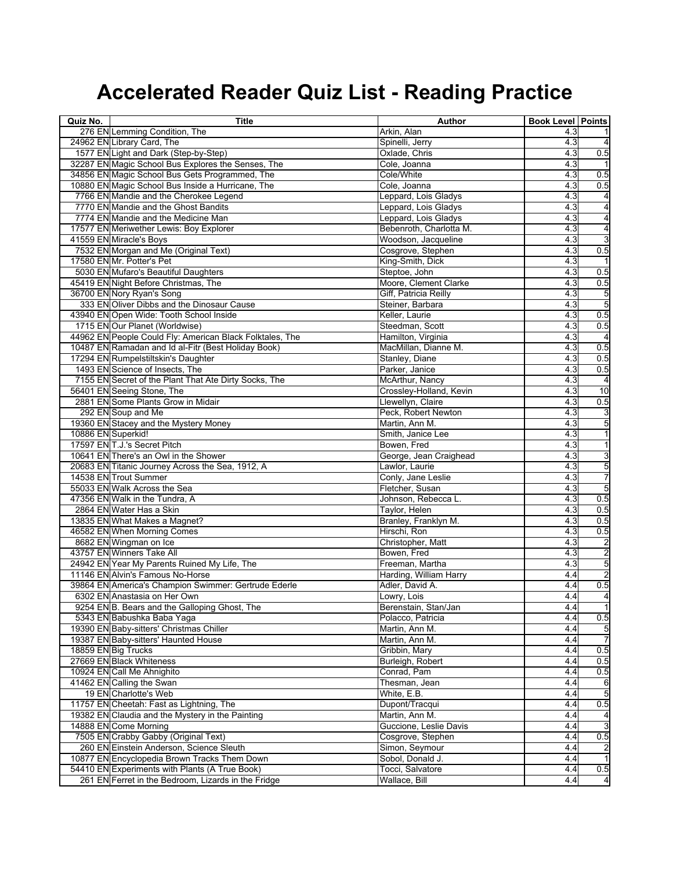| Quiz No.           | <b>Title</b>                                             | Author                  | <b>Book Level Points</b> |                         |
|--------------------|----------------------------------------------------------|-------------------------|--------------------------|-------------------------|
|                    | 276 EN Lemming Condition, The                            | Arkin, Alan             | 4.3                      |                         |
|                    | 24962 EN Library Card, The                               | Spinelli, Jerry         | 4.3                      | $\overline{4}$          |
|                    | 1577 EN Light and Dark (Step-by-Step)                    | Oxlade, Chris           | 4.3                      | 0.5                     |
|                    | 32287 EN Magic School Bus Explores the Senses, The       | Cole, Joanna            | 4.3                      |                         |
|                    | 34856 EN Magic School Bus Gets Programmed, The           | Cole/White              | 4.3                      | 0.5                     |
|                    | 10880 EN Magic School Bus Inside a Hurricane, The        | Cole, Joanna            | 4.3                      | 0.5                     |
|                    | 7766 EN Mandie and the Cherokee Legend                   | Leppard, Lois Gladys    | 4.3                      | 4                       |
|                    | 7770 EN Mandie and the Ghost Bandits                     | Leppard, Lois Gladys    | 4.3                      | 4                       |
|                    | 7774 EN Mandie and the Medicine Man                      | Leppard, Lois Gladys    | 4.3                      | 4                       |
|                    | 17577 EN Meriwether Lewis: Boy Explorer                  | Bebenroth, Charlotta M. | 4.3                      | 4                       |
|                    | 41559 EN Miracle's Boys                                  | Woodson, Jacqueline     | 4.3                      | 3                       |
|                    | 7532 EN Morgan and Me (Original Text)                    | Cosgrove, Stephen       | 4.3                      | 0.5                     |
|                    | 17580 EN Mr. Potter's Pet                                | King-Smith, Dick        | 4.3                      |                         |
|                    | 5030 EN Mufaro's Beautiful Daughters                     | Steptoe, John           | 4.3                      | 0.5                     |
|                    | 45419 EN Night Before Christmas, The                     | Moore, Clement Clarke   | 4.3                      | 0.5                     |
|                    | 36700 EN Nory Ryan's Song                                | Giff, Patricia Reilly   | 4.3                      | 5                       |
|                    | 333 EN Oliver Dibbs and the Dinosaur Cause               | Steiner, Barbara        | 4.3                      | 5                       |
|                    | 43940 EN Open Wide: Tooth School Inside                  | Keller, Laurie          | 4.3                      | 0.5                     |
|                    | 1715 EN Our Planet (Worldwise)                           | Steedman, Scott         | 4.3                      | 0.5                     |
|                    | 44962 EN People Could Fly: American Black Folktales, The | Hamilton, Virginia      | 4.3                      | $\overline{4}$          |
|                    | 10487 EN Ramadan and Id al-Fitr (Best Holiday Book)      | MacMillan, Dianne M.    | 4.3                      | 0.5                     |
|                    | 17294 EN Rumpelstiltskin's Daughter                      | Stanley, Diane          | 4.3                      | 0.5                     |
|                    | 1493 EN Science of Insects, The                          | Parker, Janice          | 4.3                      | 0.5                     |
|                    | 7155 EN Secret of the Plant That Ate Dirty Socks, The    | McArthur, Nancy         | 4.3                      | $\overline{a}$          |
|                    | 56401 EN Seeing Stone, The                               | Crossley-Holland, Kevin | 4.3                      | 10                      |
|                    | 2881 EN Some Plants Grow in Midair                       | Llewellyn, Claire       | 4.3                      | 0.5                     |
|                    | 292 EN Soup and Me                                       | Peck, Robert Newton     | 4.3                      | 3                       |
|                    | 19360 EN Stacey and the Mystery Money                    | Martin, Ann M.          | 4.3                      | 5                       |
| 10886 EN Superkid! |                                                          | Smith, Janice Lee       | 4.3                      | $\overline{1}$          |
|                    | 17597 EN T.J.'s Secret Pitch                             | Bowen, Fred             | 4.3                      | $\overline{1}$          |
|                    | 10641 EN There's an Owl in the Shower                    | George, Jean Craighead  | 4.3                      | 3                       |
|                    | 20683 EN Titanic Journey Across the Sea, 1912, A         | Lawlor, Laurie          | 4.3                      | 5                       |
|                    | 14538 EN Trout Summer                                    | Conly, Jane Leslie      | 4.3                      | $\overline{7}$          |
|                    | 55033 EN Walk Across the Sea                             | Fletcher, Susan         | 4.3                      | GЛ                      |
|                    | 47356 EN Walk in the Tundra, A                           | Johnson, Rebecca L.     | 4.3                      | 0.5                     |
|                    |                                                          |                         |                          |                         |
|                    | 2864 EN Water Has a Skin                                 | Taylor, Helen           | 4.3                      | 0.5                     |
|                    | 13835 EN What Makes a Magnet?                            | Branley, Franklyn M.    | 4.3                      | 0.5                     |
|                    | 46582 EN When Morning Comes                              | Hirschi, Ron            | 4.3                      | 0.5                     |
|                    | 8682 EN Wingman on Ice                                   | Christopher, Matt       | 4.3                      | $\overline{\mathbf{c}}$ |
|                    | 43757 EN Winners Take All                                | Bowen, Fred             | 4.3                      | $\overline{\mathbf{c}}$ |
|                    | 24942 EN Year My Parents Ruined My Life, The             | Freeman, Martha         | 4.3                      | 5                       |
|                    | 11146 EN Alvin's Famous No-Horse                         | Harding, William Harry  | 4.4                      | $\overline{a}$          |
|                    | 39864 EN America's Champion Swimmer: Gertrude Ederle     | Adler, David A.         | 4.4                      | 0.5                     |
|                    | 6302 EN Anastasia on Her Own                             | Lowry, Lois             | 4.4                      | 4                       |
|                    | 9254 EN B. Bears and the Galloping Ghost, The            | Berenstain, Stan/Jan    | 4.4                      |                         |
|                    | 5343 EN Babushka Baba Yaqa                               | Polacco, Patricia       | 4.4                      | 0.5                     |
|                    | 19390 EN Baby-sitters' Christmas Chiller                 | Martin, Ann M.          | 4.4                      | 5                       |
|                    | 19387 EN Baby-sitters' Haunted House                     | Martin, Ann M.          | 4.4                      | 7                       |
|                    | 18859 EN Big Trucks                                      | Gribbin, Mary           | 4.4                      | 0.5                     |
|                    | 27669 EN Black Whiteness                                 | Burleigh, Robert        | 4.4                      | 0.5                     |
|                    | 10924 EN Call Me Ahnighito                               | Conrad, Pam             | 4.4                      | 0.5                     |
|                    | 41462 EN Calling the Swan                                | Thesman, Jean           | 4.4                      | 6                       |
|                    | 19 EN Charlotte's Web                                    | White, E.B.             | 4.4                      | 5                       |
|                    | 11757 EN Cheetah: Fast as Lightning, The                 | Dupont/Tracqui          | 4.4                      | 0.5                     |
|                    | 19382 EN Claudia and the Mystery in the Painting         | Martin, Ann M.          | 4.4                      | 4                       |
|                    | 14888 EN Come Morning                                    | Guccione, Leslie Davis  | 4.4                      | 3                       |
|                    | 7505 EN Crabby Gabby (Original Text)                     | Cosgrove, Stephen       | 4.4                      | 0.5                     |
|                    | 260 EN Einstein Anderson, Science Sleuth                 | Simon, Seymour          | 4.4                      | $\overline{a}$          |
|                    | 10877 EN Encyclopedia Brown Tracks Them Down             | Sobol, Donald J.        | 4.4                      | $\overline{1}$          |
|                    | 54410 EN Experiments with Plants (A True Book)           | Tocci, Salvatore        | 4.4                      | 0.5                     |
|                    | 261 EN Ferret in the Bedroom, Lizards in the Fridge      | Wallace, Bill           | 4.4                      | 4                       |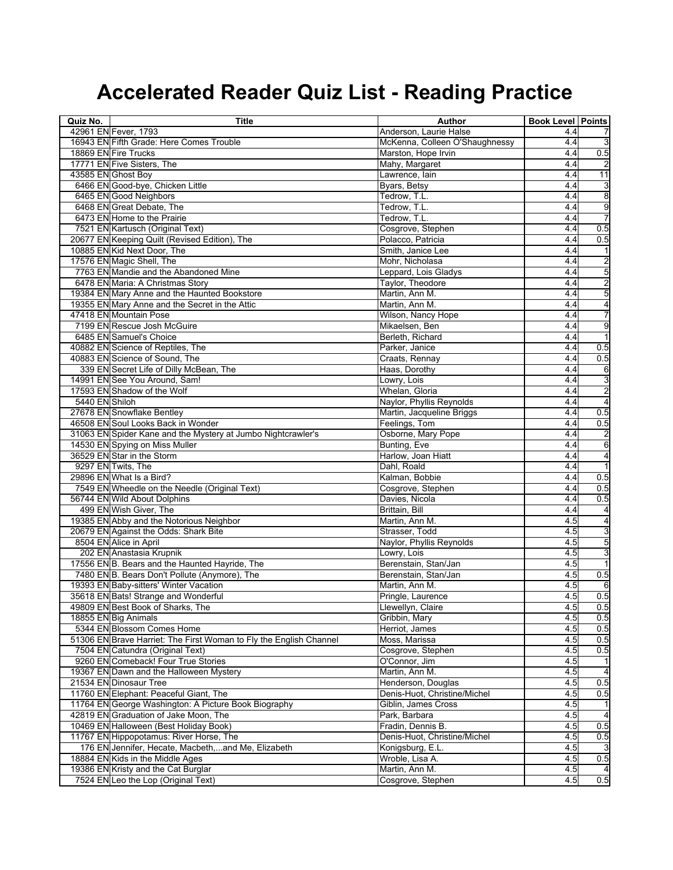| Quiz No.       | <b>Title</b>                                                       | Author                         | <b>Book Level Points</b> |                         |
|----------------|--------------------------------------------------------------------|--------------------------------|--------------------------|-------------------------|
|                | 42961 EN Fever, 1793                                               | Anderson, Laurie Halse         | 4.4                      | 7                       |
|                | 16943 EN Fifth Grade: Here Comes Trouble                           | McKenna, Colleen O'Shaughnessy | 4.4                      | ω                       |
|                | 18869 EN Fire Trucks                                               | Marston, Hope Irvin            | 4.4                      | 0.5                     |
|                | 17771 EN Five Sisters, The                                         | Mahy, Margaret                 | 4.4                      |                         |
|                | 43585 EN Ghost Boy                                                 | Lawrence, lain                 | 4.4                      | 11                      |
|                | 6466 EN Good-bye, Chicken Little                                   | Byars, Betsy                   | 4.4                      | 3                       |
|                | 6465 EN Good Neighbors                                             | Tedrow, T.L.                   | 4.4                      | 8                       |
|                | 6468 EN Great Debate, The                                          | Tedrow, T.L.                   | 4.4                      | 9                       |
|                | 6473 EN Home to the Prairie                                        | Tedrow, T.L.                   | 4.4                      | 7                       |
|                | 7521 EN Kartusch (Original Text)                                   | Cosgrove, Stephen              | 4.4                      | 0.5                     |
|                | 20677 EN Keeping Quilt (Revised Edition), The                      | Polacco, Patricia              | 4.4                      | 0.5                     |
|                | 10885 EN Kid Next Door, The                                        | Smith, Janice Lee              | 4.4                      | 1                       |
|                | 17576 EN Magic Shell, The                                          | Mohr, Nicholasa                | 4.4                      | $\overline{\mathbf{c}}$ |
|                | 7763 EN Mandie and the Abandoned Mine                              | Leppard, Lois Gladys           | 4.4                      | 5                       |
|                | 6478 EN Maria: A Christmas Story                                   | Taylor, Theodore               | 4.4                      | 2                       |
|                | 19384 EN Mary Anne and the Haunted Bookstore                       | Martin, Ann M.                 | 4.4                      | 5                       |
|                | 19355 EN Mary Anne and the Secret in the Attic                     | Martin, Ann M.                 | 4.4                      | $\overline{\mathbf{r}}$ |
|                | 47418 EN Mountain Pose                                             | Wilson, Nancy Hope             | 4.4                      | 7                       |
|                | 7199 EN Rescue Josh McGuire                                        | Mikaelsen, Ben                 | 4.4                      | 9                       |
|                | 6485 EN Samuel's Choice                                            | Berleth, Richard               | 4.4                      | $\overline{1}$          |
|                | 40882 EN Science of Reptiles, The                                  | Parker, Janice                 | 4.4                      | 0.5                     |
|                | 40883 EN Science of Sound, The                                     | Craats, Rennay                 | 4.4                      | 0.5                     |
|                | 339 EN Secret Life of Dilly McBean, The                            | Haas, Dorothy                  | 4.4                      | 6                       |
|                | 14991 EN See You Around, Sam!                                      | Lowry, Lois                    | 4.4                      | 3                       |
|                | 17593 EN Shadow of the Wolf                                        | Whelan, Gloria                 | 4.4                      | $\overline{\mathbf{c}}$ |
| 5440 EN Shiloh |                                                                    | Naylor, Phyllis Reynolds       | 4.4                      | 4                       |
|                | 27678 EN Snowflake Bentley                                         | Martin, Jacqueline Briggs      | 4.4                      | 0.5                     |
|                | 46508 EN Soul Looks Back in Wonder                                 | Feelings, Tom                  | 4.4                      | 0.5                     |
|                | 31063 EN Spider Kane and the Mystery at Jumbo Nightcrawler's       | Osborne, Mary Pope             | 4.4                      | $\overline{a}$          |
|                | 14530 EN Spying on Miss Muller                                     | Bunting, Eve                   | 4.4                      | 6                       |
|                | 36529 EN Star in the Storm                                         | Harlow, Joan Hiatt             | 4.4                      | $\overline{\mathbf{A}}$ |
|                | 9297 EN Twits, The                                                 | Dahl, Roald                    | 4.4                      | $\overline{1}$          |
|                | 29896 EN What Is a Bird?                                           | Kalman, Bobbie                 | 4.4                      | 0.5                     |
|                | 7549 EN Wheedle on the Needle (Original Text)                      | Cosgrove, Stephen              | 4.4                      | 0.5                     |
|                | 56744 EN Wild About Dolphins                                       | Davies, Nicola                 | 4.4                      | 0.5                     |
|                | 499 EN Wish Giver, The                                             | Brittain, Bill                 | 4.4                      | 4                       |
|                | 19385 EN Abby and the Notorious Neighbor                           | Martin, Ann M.                 | 4.5                      | 4                       |
|                | 20679 EN Against the Odds: Shark Bite                              | Strasser, Todd                 | 4.5                      | 3                       |
|                | 8504 EN Alice in April                                             | Naylor, Phyllis Reynolds       | 4.5                      | 5                       |
|                | 202 EN Anastasia Krupnik                                           | Lowry, Lois                    | 4.5                      | 3                       |
|                | 17556 EN B. Bears and the Haunted Hayride, The                     | Berenstain, Stan/Jan           | 4.5                      | $\overline{1}$          |
|                | 7480 EN B. Bears Don't Pollute (Anymore), The                      | Berenstain, Stan/Jan           | 4.5                      | 0.5                     |
|                | 19393 EN Baby-sitters' Winter Vacation                             | Martin, Ann M.                 | 4.5                      | 6                       |
|                | 35618 EN Bats! Strange and Wonderful                               | Pringle, Laurence              | 4.5                      | 0.5                     |
|                | 49809 EN Best Book of Sharks, The                                  | Llewellyn, Claire              | 4.5                      | 0.5                     |
|                | 18855 EN Big Animals                                               | Gribbin, Mary                  | 4.5                      | 0.5                     |
|                | 5344 EN Blossom Comes Home                                         | Herriot, James                 | 4.5                      | 0.5                     |
|                | 51306 EN Brave Harriet: The First Woman to Fly the English Channel | Moss, Marissa                  | 4.5                      | 0.5                     |
|                | 7504 EN Catundra (Original Text)                                   | Cosgrove, Stephen              | 4.5                      | 0.5                     |
|                | 9260 EN Comeback! Four True Stories                                | O'Connor, Jim                  | 4.5                      |                         |
|                | 19367 EN Dawn and the Halloween Mystery                            | Martin, Ann M.                 | 4.5                      | $\overline{4}$          |
|                | 21534 EN Dinosaur Tree                                             | Henderson, Douglas             | 4.5                      | 0.5                     |
|                | 11760 EN Elephant: Peaceful Giant, The                             | Denis-Huot, Christine/Michel   | 4.5                      | 0.5                     |
|                | 11764 EN George Washington: A Picture Book Biography               | Giblin, James Cross            | 4.5                      |                         |
|                | 42819 EN Graduation of Jake Moon, The                              | Park, Barbara                  | 4.5                      | $\overline{4}$          |
|                | 10469 EN Halloween (Best Holiday Book)                             | Fradin, Dennis B.              | 4.5                      | 0.5                     |
|                | 11767 EN Hippopotamus: River Horse, The                            | Denis-Huot, Christine/Michel   | 4.5                      | 0.5                     |
|                | 176 EN Jennifer, Hecate, Macbeth,and Me, Elizabeth                 | Konigsburg, E.L.               | 4.5                      | 3                       |
|                | 18884 EN Kids in the Middle Ages                                   | Wroble, Lisa A.                | 4.5                      | 0.5                     |
|                | 19386 EN Kristy and the Cat Burglar                                | Martin, Ann M.                 | 4.5                      | 4                       |
|                | 7524 EN Leo the Lop (Original Text)                                | Cosgrove, Stephen              | 4.5                      | 0.5                     |
|                |                                                                    |                                |                          |                         |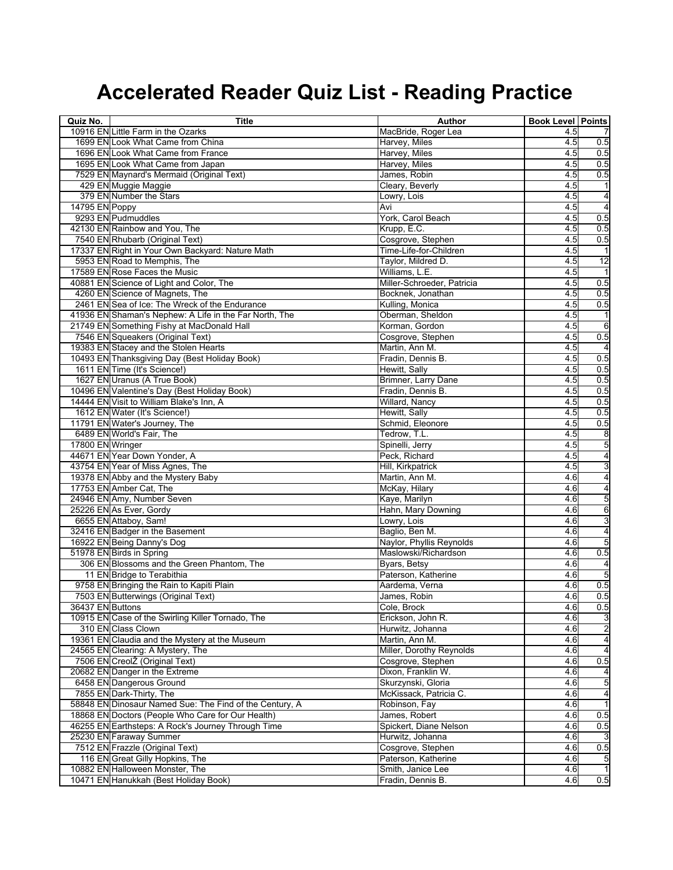| Quiz No.         | <b>Title</b>                                            | Author                                        | <b>Book Level Points</b> |                         |
|------------------|---------------------------------------------------------|-----------------------------------------------|--------------------------|-------------------------|
|                  | 10916 EN Little Farm in the Ozarks                      | MacBride, Roger Lea                           | 4.5                      |                         |
|                  | 1699 EN Look What Came from China                       | Harvey, Miles                                 | 4.5                      | 0.5                     |
|                  | 1696 EN Look What Came from France                      | Harvey, Miles                                 | 4.5                      | 0.5                     |
|                  | 1695 EN Look What Came from Japan                       | Harvey, Miles                                 | 4.5                      | 0.5                     |
|                  | 7529 EN Maynard's Mermaid (Original Text)               | James, Robin                                  | 4.5                      | 0.5                     |
|                  | 429 EN Muggie Maggie                                    | Cleary, Beverly                               | 4.5                      |                         |
|                  | 379 EN Number the Stars                                 | Lowry, Lois                                   | 4.5                      | 4                       |
| 14795 EN Poppy   |                                                         | Avi                                           | 4.5                      | $\overline{4}$          |
|                  | 9293 EN Pudmuddles                                      | York, Carol Beach                             | 4.5                      | 0.5                     |
|                  | 42130 EN Rainbow and You, The                           | Krupp, E.C.                                   | 4.5                      | 0.5                     |
|                  | 7540 EN Rhubarb (Original Text)                         | Cosgrove, Stephen                             | 4.5                      | 0.5                     |
|                  | 17337 EN Right in Your Own Backyard: Nature Math        | Time-Life-for-Children                        | 4.5                      | 1                       |
|                  | 5953 EN Road to Memphis, The                            | Taylor, Mildred D.                            | 4.5                      | $\overline{12}$         |
|                  | 17589 EN Rose Faces the Music                           | Williams, L.E.                                | 4.5                      |                         |
|                  | 40881 EN Science of Light and Color, The                | Miller-Schroeder, Patricia                    | 4.5                      | 0.5                     |
|                  | 4260 EN Science of Magnets, The                         | Bocknek, Jonathan                             | 4.5                      | 0.5                     |
|                  | 2461 EN Sea of Ice: The Wreck of the Endurance          | Kulling, Monica                               | 4.5                      | 0.5                     |
|                  | 41936 EN Shaman's Nephew: A Life in the Far North, The  | Oberman, Sheldon                              | 4.5                      | $\mathbf{1}$            |
|                  | 21749 EN Something Fishy at MacDonald Hall              | Korman, Gordon                                | 4.5                      | 6                       |
|                  | 7546 EN Squeakers (Original Text)                       | Cosgrove, Stephen                             | 4.5                      | 0.5                     |
|                  | 19383 EN Stacey and the Stolen Hearts                   | Martin, Ann M.                                | 4.5                      | $\overline{4}$          |
|                  | 10493 EN Thanksgiving Day (Best Holiday Book)           | Fradin, Dennis B.                             | 4.5                      | 0.5                     |
|                  | 1611 EN Time (It's Science!)                            | Hewitt, Sally                                 | 4.5                      | 0.5                     |
|                  | 1627 EN Uranus (A True Book)                            | Brimner, Larry Dane                           | 4.5                      | 0.5                     |
|                  | 10496 EN Valentine's Day (Best Holiday Book)            | Fradin, Dennis B.                             | 4.5                      | 0.5                     |
|                  | 14444 EN Visit to William Blake's Inn, A                | Willard, Nancy                                | 4.5                      | 0.5                     |
|                  | 1612 EN Water (It's Science!)                           | Hewitt, Sally                                 | 4.5                      | 0.5                     |
|                  | 11791 EN Water's Journey, The                           | Schmid, Eleonore                              | 4.5                      | 0.5                     |
|                  | 6489 EN World's Fair, The                               | Tedrow, T.L.                                  | 4.5                      | 8                       |
| 17800 EN Wringer |                                                         | Spinelli, Jerry                               | 4.5                      | 5                       |
|                  | 44671 EN Year Down Yonder, A                            | Peck, Richard                                 | 4.5                      | 4                       |
|                  | 43754 EN Year of Miss Agnes, The                        | Hill, Kirkpatrick                             | 4.5                      | 3                       |
|                  | 19378 EN Abby and the Mystery Baby                      | Martin, Ann M.                                | 4.6                      | $\overline{\mathbf{r}}$ |
|                  | 17753 EN Amber Cat, The                                 | McKay, Hilary                                 | 4.6                      | 4                       |
|                  | 24946 EN Amy, Number Seven                              | Kaye, Marilyn                                 | 4.6                      | 5                       |
|                  | 25226 EN As Ever, Gordy                                 | Hahn, Mary Downing                            | 4.6                      | 6                       |
|                  | 6655 EN Attaboy, Sam!                                   | Lowry, Lois                                   | 4.6                      | 3                       |
|                  | 32416 EN Badger in the Basement                         | Baglio, Ben M.                                | 4.6                      | 4                       |
|                  | 16922 EN Being Danny's Dog                              | Naylor, Phyllis Reynolds                      | 4.6                      | 5                       |
|                  | 51978 EN Birds in Spring                                | Maslowski/Richardson                          | 4.6                      | 0.5                     |
|                  | 306 EN Blossoms and the Green Phantom, The              | Byars, Betsy                                  | 4.6                      | 4                       |
|                  | 11 EN Bridge to Terabithia                              | Paterson, Katherine                           | 4.6                      | GЛ                      |
|                  | 9758 EN Bringing the Rain to Kapiti Plain               | Aardema, Verna                                | 4.6                      | 0.5                     |
| 36437 EN Buttons | 7503 EN Butterwings (Original Text)                     | James, Robin                                  | 4.6                      | 0.5                     |
|                  | 10915 EN Case of the Swirling Killer Tornado, The       | Cole, Brock<br>Erickson, John R.              | 4.6                      | 0.5                     |
|                  | 310 EN Class Clown                                      | Hurwitz, Johanna                              | 4.6<br>4.6               | 3<br>2                  |
|                  | 19361 EN Claudia and the Mystery at the Museum          | Martin, Ann M.                                | 4.6                      | $\overline{\mathbf{4}}$ |
|                  | 24565 EN Clearing: A Mystery, The                       |                                               | 4.6                      | $\overline{4}$          |
|                  | 7506 EN CreolŽ (Original Text)                          | Miller, Dorothy Reynolds<br>Cosgrove, Stephen | 4.6                      | 0.5                     |
|                  | 20682 EN Danger in the Extreme                          | Dixon, Franklin W.                            | 4.6                      | 4                       |
|                  | 6458 EN Dangerous Ground                                | Skurzynski, Gloria                            | 4.6                      | 5                       |
|                  | 7855 EN Dark-Thirty, The                                | McKissack, Patricia C.                        | 4.6                      | $\overline{\mathbf{r}}$ |
|                  | 58848 EN Dinosaur Named Sue: The Find of the Century, A | Robinson, Fay                                 | 4.6                      | $\mathbf{1}$            |
|                  | 18868 EN Doctors (People Who Care for Our Health)       | James, Robert                                 | 4.6                      | 0.5                     |
|                  | 46255 EN Earthsteps: A Rock's Journey Through Time      | Spickert, Diane Nelson                        | 4.6                      | 0.5                     |
|                  | 25230 EN Faraway Summer                                 | Hurwitz, Johanna                              | 4.6                      | 3                       |
|                  | 7512 EN Frazzle (Original Text)                         | Cosgrove, Stephen                             | 4.6                      | 0.5                     |
|                  | 116 EN Great Gilly Hopkins, The                         | Paterson, Katherine                           | 4.6                      | 5                       |
|                  | 10882 EN Halloween Monster, The                         | Smith, Janice Lee                             | 4.6                      | $\overline{1}$          |
|                  | 10471 EN Hanukkah (Best Holiday Book)                   | Fradin, Dennis B.                             | 4.6                      | 0.5                     |
|                  |                                                         |                                               |                          |                         |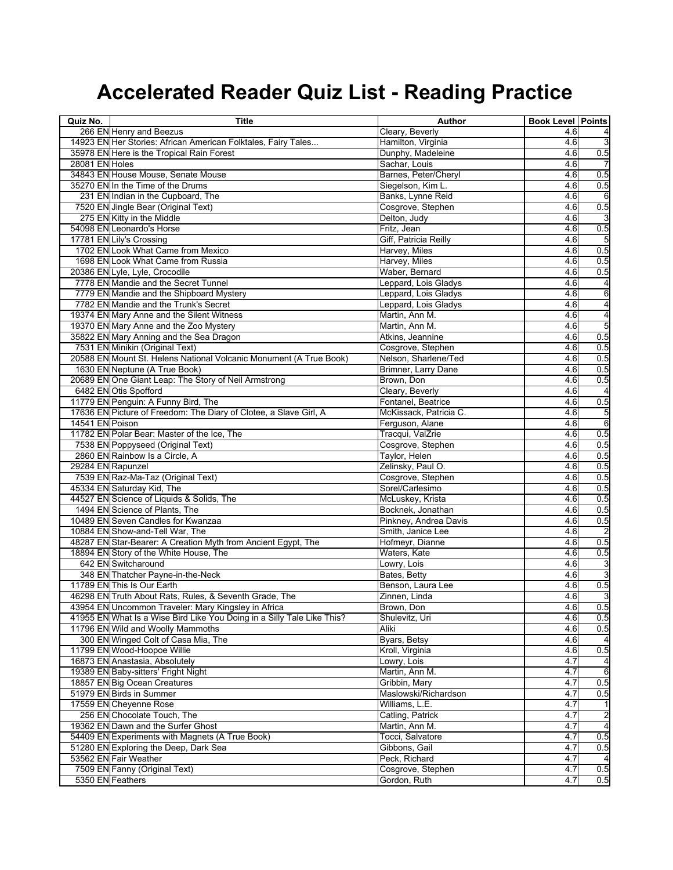| Quiz No.          | <b>Title</b>                                                            | <b>Author</b>          | <b>Book Level Points</b> |                 |
|-------------------|-------------------------------------------------------------------------|------------------------|--------------------------|-----------------|
|                   | 266 EN Henry and Beezus                                                 | Cleary, Beverly        | 4.6                      |                 |
|                   | 14923 EN Her Stories: African American Folktales, Fairy Tales           | Hamilton, Virginia     | 4.6                      | ω               |
|                   | 35978 EN Here is the Tropical Rain Forest                               | Dunphy, Madeleine      | 4.6                      | 0.5             |
| 28081 EN Holes    |                                                                         | Sachar, Louis          | 4.6                      |                 |
|                   | 34843 EN House Mouse, Senate Mouse                                      | Barnes, Peter/Cheryl   | 4.6                      | 0.5             |
|                   | 35270 EN In the Time of the Drums                                       | Siegelson, Kim L.      | 4.6                      | 0.5             |
|                   | 231 EN Indian in the Cupboard, The                                      | Banks, Lynne Reid      | 4.6                      | 6               |
|                   | 7520 EN Jingle Bear (Original Text)                                     | Cosgrove, Stephen      | 4.6                      | 0.5             |
|                   | 275 EN Kitty in the Middle                                              | Delton, Judy           | 4.6                      | 3               |
|                   | 54098 EN Leonardo's Horse                                               | Fritz, Jean            | 4.6                      | 0.5             |
|                   | 17781 EN Lily's Crossing                                                | Giff, Patricia Reilly  | 4.6                      | 5               |
|                   | 1702 EN Look What Came from Mexico                                      | Harvey, Miles          | 4.6                      | 0.5             |
|                   | 1698 EN Look What Came from Russia                                      | Harvey, Miles          | 4.6                      | 0.5             |
|                   | 20386 EN Lyle, Lyle, Crocodile                                          | Waber, Bernard         | 4.6                      | 0.5             |
|                   | 7778 EN Mandie and the Secret Tunnel                                    | Leppard, Lois Gladys   | 4.6                      | 4               |
|                   | 7779 EN Mandie and the Shipboard Mystery                                | Leppard, Lois Gladys   | 4.6                      | 6               |
|                   | 7782 EN Mandie and the Trunk's Secret                                   | Leppard, Lois Gladys   | 4.6                      | $\overline{4}$  |
|                   | 19374 EN Mary Anne and the Silent Witness                               | Martin, Ann M.         | 4.6                      | 4               |
|                   | 19370 EN Mary Anne and the Zoo Mystery                                  | Martin, Ann M.         | 4.6                      | 5               |
|                   | 35822 EN Mary Anning and the Sea Dragon                                 | Atkins, Jeannine       | 4.6                      | 0.5             |
|                   | 7531 EN Minikin (Original Text)                                         | Cosgrove, Stephen      | 4.6                      | 0.5             |
|                   | 20588 EN Mount St. Helens National Volcanic Monument (A True Book)      | Nelson, Sharlene/Ted   | 4.6                      | 0.5             |
|                   | 1630 EN Neptune (A True Book)                                           | Brimner, Larry Dane    | 4.6                      | 0.5             |
|                   | 20689 EN One Giant Leap: The Story of Neil Armstrong                    | Brown, Don             | 4.6                      | 0.5             |
|                   | 6482 EN Otis Spofford                                                   | Cleary, Beverly        | 4.6                      | 4               |
|                   | 11779 EN Penguin: A Funny Bird, The                                     | Fontanel, Beatrice     | 4.6                      | 0.5             |
|                   | 17636 EN Picture of Freedom: The Diary of Clotee, a Slave Girl, A       | McKissack, Patricia C. | 4.6                      | G               |
| 14541 EN Poison   |                                                                         | Ferguson, Alane        | 4.6                      | $6\phantom{a}6$ |
|                   | 11782 EN Polar Bear: Master of the Ice, The                             | Tracqui, ValŽrie       | 4.6                      | 0.5             |
|                   | 7538 EN Poppyseed (Original Text)                                       | Cosgrove, Stephen      | 4.6                      | 0.5             |
|                   | 2860 EN Rainbow Is a Circle, A                                          | Taylor, Helen          | 4.6                      | 0.5             |
| 29284 EN Rapunzel |                                                                         | Zelinsky, Paul O.      | 4.6                      | 0.5             |
|                   | 7539 EN Raz-Ma-Taz (Original Text)                                      |                        |                          |                 |
|                   |                                                                         | Cosgrove, Stephen      | 4.6<br>4.6               | 0.5<br>0.5      |
|                   | 45334 EN Saturday Kid, The<br>44527 EN Science of Liquids & Solids, The | Sorel/Carlesimo        | 4.6                      | 0.5             |
|                   | 1494 EN Science of Plants, The                                          | McLuskey, Krista       |                          |                 |
|                   |                                                                         | Bocknek, Jonathan      | 4.6                      | 0.5             |
|                   | 10489 EN Seven Candles for Kwanzaa                                      | Pinkney, Andrea Davis  | 4.6                      | 0.5             |
|                   | 10884 EN Show-and-Tell War, The                                         | Smith, Janice Lee      | 4.6                      |                 |
|                   | 48287 EN Star-Bearer: A Creation Myth from Ancient Egypt, The           | Hofmeyr, Dianne        | 4.6                      | 0.5             |
|                   | 18894 EN Story of the White House, The                                  | Waters, Kate           | 4.6                      | 0.5             |
|                   | 642 EN Switcharound                                                     | Lowry, Lois            | 4.6                      | 3               |
|                   | 348 EN Thatcher Payne-in-the-Neck                                       | Bates, Betty           | 4.6                      | 3               |
|                   | 11789 EN This Is Our Earth                                              | Benson, Laura Lee      | 4.6                      | 0.5             |
|                   | 46298 EN Truth About Rats, Rules, & Seventh Grade, The                  | Zinnen, Linda          | 4.6                      | 3               |
|                   | 43954 EN Uncommon Traveler: Mary Kingsley in Africa                     | Brown, Don             | 4.6                      | 0.5             |
|                   | 41955 EN What Is a Wise Bird Like You Doing in a Silly Tale Like This?  | Shulevitz, Uri         | 4.6                      | 0.5             |
|                   | 11796 EN Wild and Woolly Mammoths                                       | Aliki                  | 4.6                      | 0.5             |
|                   | 300 EN Winged Colt of Casa Mia, The                                     | Byars, Betsy           | 4.6                      |                 |
|                   | 11799 EN Wood-Hoopoe Willie                                             | Kroll, Virginia        | 4.6                      | 0.5             |
|                   | 16873 EN Anastasia, Absolutely                                          | Lowry, Lois            | 4.7                      | 4               |
|                   | 19389 EN Baby-sitters' Fright Night                                     | Martin, Ann M.         | 4.7                      | 6               |
|                   | 18857 EN Big Ocean Creatures                                            | Gribbin, Mary          | 4.7                      | 0.5             |
|                   | 51979 EN Birds in Summer                                                | Maslowski/Richardson   | 4.7                      | 0.5             |
|                   | 17559 EN Cheyenne Rose                                                  | Williams, L.E.         | 4.7                      |                 |
|                   | 256 EN Chocolate Touch, The                                             | Catling, Patrick       | 4.7                      | $\overline{a}$  |
|                   | 19362 EN Dawn and the Surfer Ghost                                      | Martin, Ann M.         | 4.7                      | $\overline{a}$  |
|                   | 54409 EN Experiments with Magnets (A True Book)                         | Tocci, Salvatore       | 4.7                      | 0.5             |
|                   | 51280 EN Exploring the Deep, Dark Sea                                   | Gibbons, Gail          | 4.7                      | 0.5             |
|                   | 53562 EN Fair Weather                                                   | Peck, Richard          | 4.7                      | $\overline{4}$  |
|                   | 7509 EN Fanny (Original Text)                                           | Cosgrove, Stephen      | 4.7                      | 0.5             |
| 5350 EN Feathers  |                                                                         | Gordon, Ruth           | 4.7                      | 0.5             |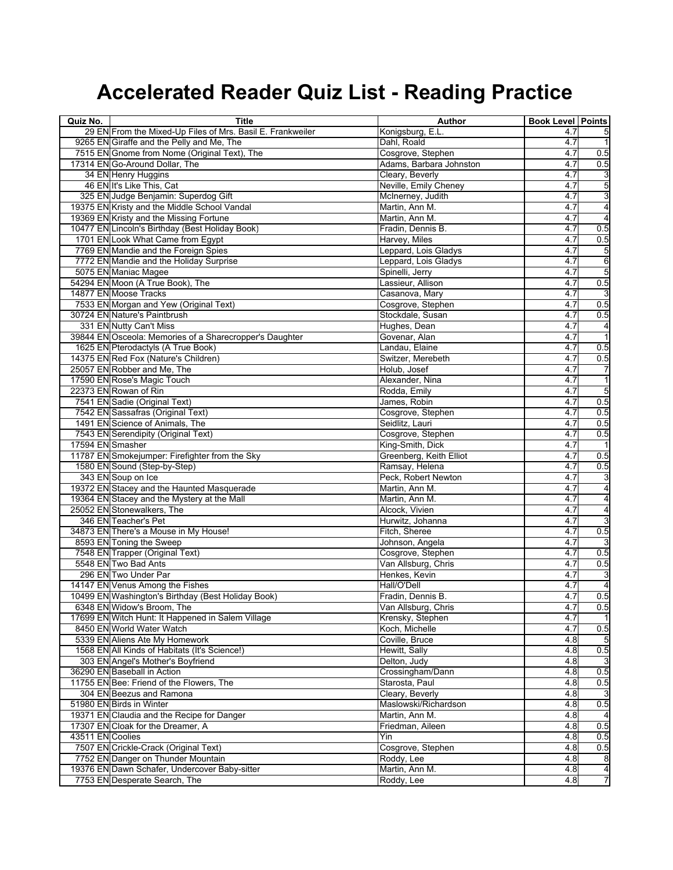| Quiz No.         | <b>Title</b>                                                                     | Author                                   | <b>Book Level Points</b> |                         |
|------------------|----------------------------------------------------------------------------------|------------------------------------------|--------------------------|-------------------------|
|                  | 29 EN From the Mixed-Up Files of Mrs. Basil E. Frankweiler                       | Konigsburg, E.L.                         | 4.7                      |                         |
|                  | 9265 EN Giraffe and the Pelly and Me, The                                        | Dahl, Roald                              | 4.7                      | 1                       |
|                  | 7515 EN Gnome from Nome (Original Text), The                                     | Cosgrove, Stephen                        | 4.7                      | 0.5                     |
|                  | 17314 EN Go-Around Dollar, The                                                   | Adams, Barbara Johnston                  | 4.7                      | 0.5                     |
|                  | 34 EN Henry Huggins                                                              | Cleary, Beverly                          | 4.7                      | 3                       |
|                  | 46 EN It's Like This, Cat                                                        | Neville, Emily Cheney                    | 4.7                      | 5                       |
|                  | 325 EN Judge Benjamin: Superdog Gift                                             | McInerney, Judith                        | 4.7                      | 3                       |
|                  | 19375 EN Kristy and the Middle School Vandal                                     | Martin, Ann M.                           | 4.7                      | 4                       |
|                  | 19369 EN Kristy and the Missing Fortune                                          | Martin, Ann M.                           | 4.7                      | $\overline{4}$          |
|                  | 10477 EN Lincoln's Birthday (Best Holiday Book)                                  | Fradin, Dennis B.                        | 4.7                      | 0.5                     |
|                  | 1701 EN Look What Came from Egypt                                                | Harvey, Miles                            | 4.7                      | 0.5                     |
|                  | 7769 EN Mandie and the Foreign Spies                                             | Leppard, Lois Gladys                     | 4.7                      | 5                       |
|                  | 7772 EN Mandie and the Holiday Surprise                                          | Leppard, Lois Gladys                     | 4.7                      | 6                       |
|                  | 5075 EN Maniac Magee                                                             | Spinelli, Jerry                          | 4.7                      | 5                       |
|                  | 54294 EN Moon (A True Book), The                                                 | Lassieur, Allison                        | 4.7                      | 0.5                     |
|                  | 14877 EN Moose Tracks                                                            | Casanova, Mary                           | 4.7                      |                         |
|                  | 7533 EN Morgan and Yew (Original Text)                                           | Cosgrove, Stephen                        | 4.7                      | 0.5                     |
|                  | 30724 EN Nature's Paintbrush                                                     | Stockdale, Susan                         | 4.7                      | 0.5                     |
|                  | 331 EN Nutty Can't Miss                                                          | Hughes, Dean                             | 4.7                      | 4                       |
|                  | 39844 EN Osceola: Memories of a Sharecropper's Daughter                          | Govenar, Alan                            | 4.7                      | $\mathbf{1}$            |
|                  | 1625 EN Pterodactyls (A True Book)                                               | Landau, Elaine                           | 4.7                      | 0.5                     |
|                  | 14375 EN Red Fox (Nature's Children)                                             | Switzer, Merebeth                        | 4.7                      | 0.5                     |
|                  | 25057 EN Robber and Me, The                                                      | Holub, Josef                             | 4.7                      | 7                       |
|                  | 17590 EN Rose's Magic Touch                                                      | Alexander, Nina                          | 4.7                      | $\overline{\mathbf{1}}$ |
|                  | 22373 EN Rowan of Rin                                                            | Rodda, Emily                             | 4.7                      | 5                       |
|                  | 7541 EN Sadie (Original Text)                                                    | James, Robin                             | 4.7                      | 0.5                     |
|                  | 7542 EN Sassafras (Original Text)                                                | Cosgrove, Stephen                        | 4.7                      | 0.5                     |
|                  | 1491 EN Science of Animals, The                                                  | Seidlitz, Lauri                          | 4.7                      | 0.5                     |
|                  | 7543 EN Serendipity (Original Text)                                              | Cosgrove, Stephen                        | 4.7                      | 0.5                     |
| 17594 EN Smasher |                                                                                  | King-Smith, Dick                         | 4.7                      |                         |
|                  | 11787 EN Smokejumper: Firefighter from the Sky                                   | Greenberg, Keith Elliot                  | 4.7                      | 0.5                     |
|                  | 1580 EN Sound (Step-by-Step)                                                     | Ramsay, Helena                           | 4.7                      | 0.5                     |
|                  | 343 EN Soup on Ice                                                               | Peck, Robert Newton                      | 4.7                      | 3                       |
|                  | 19372 EN Stacey and the Haunted Masquerade                                       | Martin, Ann M.                           | 4.7                      | $\overline{\mathbf{A}}$ |
|                  | 19364 EN Stacey and the Mystery at the Mall                                      | Martin, Ann M.                           | 4.7                      | $\overline{\mathbf{4}}$ |
|                  | 25052 EN Stonewalkers, The                                                       | Alcock, Vivien                           | 4.7                      | 4                       |
|                  | 346 EN Teacher's Pet                                                             | Hurwitz, Johanna                         | 4.7                      | 3                       |
|                  | 34873 EN There's a Mouse in My House!                                            | Fitch, Sheree                            | 4.7                      | 0.5                     |
|                  | 8593 EN Toning the Sweep                                                         | Johnson, Angela                          | 4.7                      |                         |
|                  | 7548 EN Trapper (Original Text)                                                  | Cosgrove, Stephen                        | 4.7                      | 0.5                     |
|                  | 5548 EN Two Bad Ants                                                             | Van Allsburg, Chris                      | 4.7                      | 0.5                     |
|                  | 296 EN Two Under Par                                                             | Henkes, Kevin                            | 4.7                      | 3                       |
|                  | 14147 EN Venus Among the Fishes                                                  | Hall/O'Dell                              | 4.7                      | 4                       |
|                  | 10499 EN Washington's Birthday (Best Holiday Book)<br>6348 EN Widow's Broom, The | Fradin, Dennis B.<br>Van Allsburg, Chris | 4.7                      | 0.5                     |
|                  |                                                                                  |                                          | 4.7                      | 0.5<br>$\mathbf{1}$     |
|                  | 17699 EN Witch Hunt: It Happened in Salem Village                                | Krensky, Stephen                         | 4.7                      |                         |
|                  | 8450 EN World Water Watch<br>5339 EN Aliens Ate My Homework                      | Koch, Michelle<br>Coville, Bruce         | 4.7<br>4.8               | 0.5<br>5                |
|                  | 1568 EN All Kinds of Habitats (It's Science!)                                    | Hewitt, Sally                            | 4.8                      | 0.5                     |
|                  | 303 EN Angel's Mother's Boyfriend                                                | Delton, Judy                             |                          |                         |
|                  | 36290 EN Baseball in Action                                                      | Crossingham/Dann                         | 4.8<br>4.8               | 0.5                     |
|                  | 11755 EN Bee: Friend of the Flowers, The                                         | Starosta, Paul                           | 4.8                      | 0.5                     |
|                  | 304 EN Beezus and Ramona                                                         | Cleary, Beverly                          | 4.8                      | 3                       |
|                  | 51980 EN Birds in Winter                                                         | Maslowski/Richardson                     | 4.8                      | 0.5                     |
|                  | 19371 EN Claudia and the Recipe for Danger                                       | Martin, Ann M.                           | 4.8                      | 4                       |
|                  | 17307 EN Cloak for the Dreamer, A                                                | Friedman, Aileen                         | 4.8                      | 0.5                     |
| 43511 EN Coolies |                                                                                  | Yin                                      | 4.8                      | 0.5                     |
|                  | 7507 EN Crickle-Crack (Original Text)                                            | Cosgrove, Stephen                        | 4.8                      | 0.5                     |
|                  | 7752 EN Danger on Thunder Mountain                                               | Roddy, Lee                               | 4.8                      | 8                       |
|                  | 19376 EN Dawn Schafer, Undercover Baby-sitter                                    | Martin, Ann M.                           | 4.8                      | $\overline{\mathbf{4}}$ |
|                  | 7753 EN Desperate Search, The                                                    | Roddy, Lee                               | 4.8                      | 7                       |
|                  |                                                                                  |                                          |                          |                         |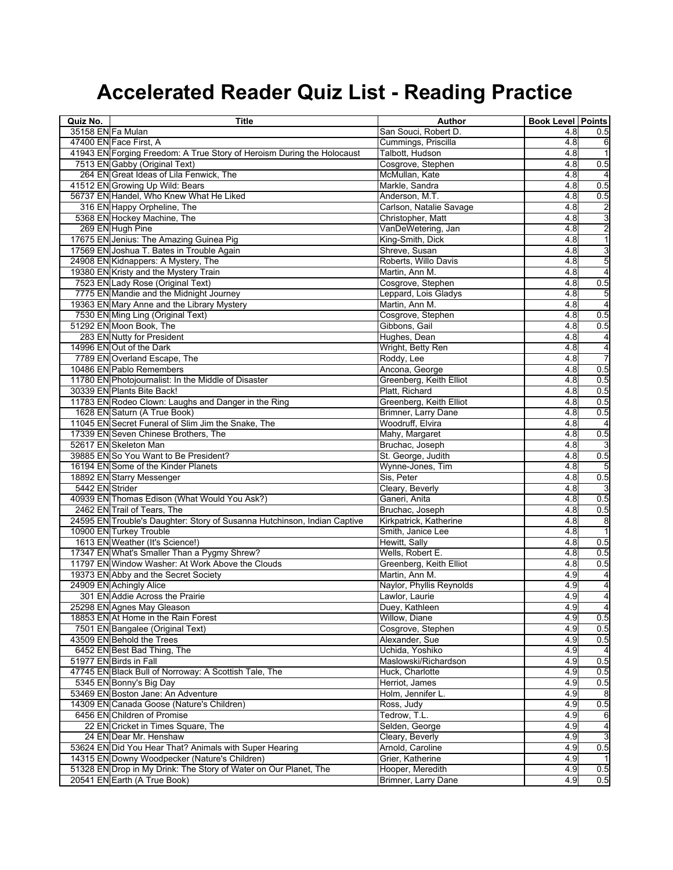| Quiz No.          | <b>Title</b>                                                             | Author                   | <b>Book Level Points</b> |                         |
|-------------------|--------------------------------------------------------------------------|--------------------------|--------------------------|-------------------------|
| 35158 EN Fa Mulan |                                                                          | San Souci, Robert D      | 4.8                      | 0.5                     |
|                   | 47400 EN Face First, A                                                   | Cummings, Priscilla      | 4.8                      | 6                       |
|                   | 41943 EN Forging Freedom: A True Story of Heroism During the Holocaust   | Talbott, Hudson          | 4.8                      | $\mathbf{1}$            |
|                   | 7513 EN Gabby (Original Text)                                            | Cosgrove, Stephen        | 4.8                      | 0.5                     |
|                   | 264 EN Great Ideas of Lila Fenwick, The                                  | McMullan, Kate           | 4.8                      |                         |
|                   | 41512 EN Growing Up Wild: Bears                                          | Markle, Sandra           | 4.8                      | 0.5                     |
|                   | 56737 EN Handel, Who Knew What He Liked                                  | Anderson, M.T.           | 4.8                      | 0.5                     |
|                   | 316 EN Happy Orpheline, The                                              | Carlson, Natalie Savage  | 4.8                      | دہ اد                   |
|                   | 5368 EN Hockey Machine, The                                              | Christopher, Matt        | 4.8                      |                         |
|                   | 269 EN Hugh Pine                                                         | VanDeWetering, Jan       | 4.8                      | $\overline{c}$          |
|                   | 17675 EN Jenius: The Amazing Guinea Pig                                  | King-Smith, Dick         | 4.8                      | $\overline{1}$          |
|                   | 17569 EN Joshua T. Bates in Trouble Again                                | Shreve, Susan            | 4.8                      | $\overline{3}$          |
|                   | 24908 EN Kidnappers: A Mystery, The                                      | Roberts, Willo Davis     | 4.8                      | 5                       |
|                   | 19380 EN Kristy and the Mystery Train                                    | Martin, Ann M.           | 4.8                      | $\overline{\mathbf{r}}$ |
|                   | 7523 EN Lady Rose (Original Text)                                        | Cosgrove, Stephen        | 4.8                      | 0.5                     |
|                   | 7775 EN Mandie and the Midnight Journey                                  | Leppard, Lois Gladys     | 4.8                      | 5                       |
|                   | 19363 EN Mary Anne and the Library Mystery                               | Martin, Ann M.           | 4.8                      | 4                       |
|                   | 7530 EN Ming Ling (Original Text)                                        | Cosgrove, Stephen        | 4.8                      | 0.5                     |
|                   | 51292 EN Moon Book, The                                                  | Gibbons, Gail            | 4.8                      | 0.5                     |
|                   | 283 EN Nutty for President                                               | Hughes, Dean             | 4.8                      | 4                       |
|                   | 14996 EN Out of the Dark                                                 | Wright, Betty Ren        | 4.8                      | 4                       |
|                   | 7789 EN Overland Escape, The                                             | Roddy, Lee               | 4.8                      | 7                       |
|                   | 10486 EN Pablo Remembers                                                 | Ancona, George           | 4.8                      | 0.5                     |
|                   | 11780 EN Photojournalist: In the Middle of Disaster                      | Greenberg, Keith Elliot  | 4.8                      | 0.5                     |
|                   | 30339 EN Plants Bite Back!                                               | Platt, Richard           | 4.8                      | 0.5                     |
|                   | 11783 EN Rodeo Clown: Laughs and Danger in the Ring                      | Greenberg, Keith Elliot  | 4.8                      | 0.5                     |
|                   | 1628 EN Saturn (A True Book)                                             | Brimner, Larry Dane      | 4.8                      | 0.5                     |
|                   | 11045 EN Secret Funeral of Slim Jim the Snake, The                       | Woodruff, Elvira         | 4.8                      | $\overline{4}$          |
|                   | 17339 EN Seven Chinese Brothers, The                                     | Mahy, Margaret           | 4.8                      | 0.5                     |
|                   | 52617 EN Skeleton Man                                                    | Bruchac, Joseph          | 4.8                      |                         |
|                   | 39885 EN So You Want to Be President?                                    | St. George, Judith       | 4.8                      | 0.5                     |
|                   | 16194 EN Some of the Kinder Planets                                      | Wynne-Jones, Tim         | 4.8                      | 5                       |
|                   | 18892 EN Starry Messenger                                                | Sis, Peter               | 4.8                      | 0.5                     |
| 5442 EN Strider   |                                                                          | Cleary, Beverly          | 4.8                      |                         |
|                   | 40939 EN Thomas Edison (What Would You Ask?)                             | Ganeri, Anita            | 4.8                      | 0.5                     |
|                   | 2462 EN Trail of Tears, The                                              | Bruchac, Joseph          | 4.8                      | 0.5                     |
|                   | 24595 EN Trouble's Daughter: Story of Susanna Hutchinson, Indian Captive | Kirkpatrick, Katherine   | 4.8                      | 8                       |
|                   | 10900 EN Turkey Trouble                                                  | Smith, Janice Lee        | 4.8                      | $\mathbf{1}$            |
|                   | 1613 EN Weather (It's Science!)                                          | Hewitt, Sally            | 4.8                      | 0.5                     |
|                   | 17347 EN What's Smaller Than a Pygmy Shrew?                              | Wells, Robert E.         | 4.8                      | 0.5                     |
|                   | 11797 EN Window Washer: At Work Above the Clouds                         | Greenberg, Keith Elliot  | 4.8                      | 0.5                     |
|                   | 19373 EN Abby and the Secret Society                                     | Martin, Ann M.           | 4.9                      | 4                       |
|                   | 24909 EN Achingly Alice                                                  | Naylor, Phyllis Reynolds | 4.9                      | 4                       |
|                   | 301 EN Addie Across the Prairie                                          | Lawlor, Laurie           | 4.9                      | 4                       |
|                   | 25298 EN Agnes May Gleason                                               | Duey, Kathleen           | 4.9                      |                         |
|                   | 18853 EN At Home in the Rain Forest                                      | Willow, Diane            | 4.9                      | 0.5                     |
|                   | 7501 EN Bangalee (Original Text)                                         | Cosgrove, Stephen        | 4.9                      | 0.5                     |
|                   | 43509 EN Behold the Trees                                                | Alexander, Sue           | 4.9                      | 0.5                     |
|                   | 6452 EN Best Bad Thing, The                                              | Uchida, Yoshiko          | 4.9                      | 4                       |
|                   | 51977 EN Birds in Fall                                                   | Maslowski/Richardson     | 4.9                      | 0.5                     |
|                   | 47745 EN Black Bull of Norroway: A Scottish Tale, The                    | Huck, Charlotte          | 4.9                      | 0.5                     |
|                   | 5345 EN Bonny's Big Day                                                  | Herriot, James           | 4.9                      | 0.5                     |
|                   | 53469 EN Boston Jane: An Adventure                                       | Holm, Jennifer L.        | 4.9                      | 8                       |
|                   | 14309 EN Canada Goose (Nature's Children)                                | Ross, Judy               | 4.9                      | 0.5                     |
|                   | 6456 EN Children of Promise                                              | Tedrow, T.L.             | 4.9                      | 6                       |
|                   | 22 EN Cricket in Times Square, The                                       | Selden, George           | 4.9                      | $\overline{\mathbf{r}}$ |
|                   | 24 EN Dear Mr. Henshaw                                                   | Cleary, Beverly          | 4.9                      | 3                       |
|                   | 53624 EN Did You Hear That? Animals with Super Hearing                   | Arnold, Caroline         | 4.9                      | 0.5                     |
|                   | 14315 EN Downy Woodpecker (Nature's Children)                            | Grier, Katherine         | 4.9                      |                         |
|                   | 51328 EN Drop in My Drink: The Story of Water on Our Planet, The         | Hooper, Meredith         | 4.9                      | 0.5                     |
|                   | 20541 EN Earth (A True Book)                                             | Brimner, Larry Dane      | 4.9                      | 0.5                     |